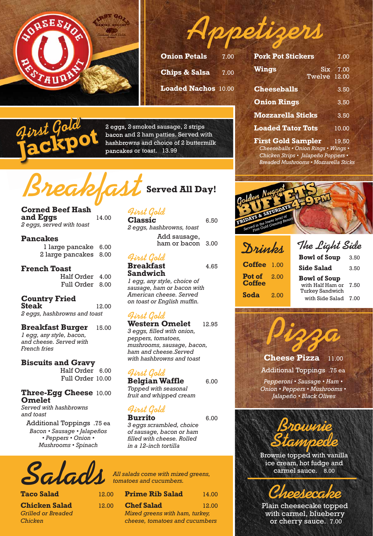



| <b>Onion Petals</b>        | 7.00 |
|----------------------------|------|
| <b>Chips &amp; Salsa</b>   | 7.00 |
| <b>Loaded Nachos 10.00</b> |      |

|  | ſ<br>٠ | 77 |  |
|--|--------|----|--|
|  |        |    |  |

2 eggs, 2 smoked sausage, 2 strips bacon and 2 ham patties. Served with hashbrowns and choice of 2 buttermilk pancakes or toast. 13.99

## **Breakfast Served All Day!**

#### **Corned Beef Hash and Eggs** 14.00

*2 eggs, served with toast* 

#### **Pancakes**

 1 large pancake 6.00 2 large pancakes 8.00

#### **French Toast**

 Half Order4.00 Full Order8.00

#### **Country Fried Steak** 12.00 *2 eggs, hashbrowns and toast*

**Breakfast Burger** 15.00 *1 egg, any style, bacon, and cheese. Served with French fries*

#### **Biscuits and Gravy**

 Half Order6.00 Full Order 10.00

#### **Three-Egg Cheese** 10.00 **Omelet**

*Served with hashbrowns and toast*

Additional Toppings .75 ea *Bacon • Sausage • Jalapeños • Peppers • Onion • Mushrooms • Spinach* 

#### **First Gold Classic** 6.50

*2 eggs, hashbrowns, toast*  Add sausage, ham or bacon 3.00

#### **First Gold**

**Breakfast** 4.65 **Sandwich** *1 egg, any style, choice of sausage, ham or bacon with American cheese. Served on toast or English muffin.*

#### **First Gold**

**Western Omelet** 12.95 *3 eggs, filled with onion, peppers, tomatoes, mushrooms, sausage, bacon, ham and cheese.Served with hashbrowns and toast* 

#### **First Gold**

**Belgian Waffle** 6.00 *Topped with seasonal fruit and whipped cream* 

## **First Gold**

**Burrito** 6.00 *3 eggs scrambled, choice of sausage, bacon or ham filled with cheese. Rolled in a 12-inch tortilla*

Salads

**Taco Salad** 

**Chicken Salad** 12.00 *Grilled or Breaded Chicken*

| All salads come with mixed greens, |
|------------------------------------|
|                                    |

| <b>Prime Rib Salad</b>         | 14.00 |
|--------------------------------|-------|
| <b>Chef Salad</b>              | 12.00 |
| Mixed greens with ham, turkey, |       |
| cheese, tomatoes and cucumbers |       |

| <b>Pork Pot Stickers</b>             |              | 7.00     |
|--------------------------------------|--------------|----------|
| <b>Wings</b>                         | Twelve 12.00 | Six 7.00 |
| <b>Cheeseballs</b>                   |              | 3.50     |
| <b>Onion Rings</b>                   |              | 3.50     |
| <b>Mozzarella Sticks</b>             |              | 3.50     |
| <b>Loaded Tator Tots</b>             |              | 10.00    |
| $P_{total}$ $C_{c1}$ d $C_{current}$ |              | 10E      |

**First Gold Sampler** 19.50 *Cheeseballs • Onion Rings • Wings • Chicken Strips • Jalapeño Poppers • Breaded Mushrooms • Mozzarella Sticks*



| Drinks                  |      | The Light Side                            |      |  |
|-------------------------|------|-------------------------------------------|------|--|
|                         |      | <b>Bowl of Soup</b>                       | 3.50 |  |
| <b>Coffee</b>           | 1.00 | <b>Side Salad</b>                         | 3.50 |  |
| Pot of<br><b>Coffee</b> | 2.00 | <b>Bowl of Soup</b><br>with Half Ham or   | 7.50 |  |
| <b>Soda</b>             | 2.00 | <b>Turkey Sandwich</b><br>with Side Salad | 7.00 |  |

**Pizza Cheese Pizza** 11.00 Additional Toppings .75 ea *Pepperoni • Sausage • Ham • Onion • Peppers • Mushrooms • Jalapeño • Black Olives*



Brownie topped with vanilla ice cream, hot fudge and carmel sauce. 8.00



Plain cheesecake topped with carmel, blueberry or cherry sauce. 7.00